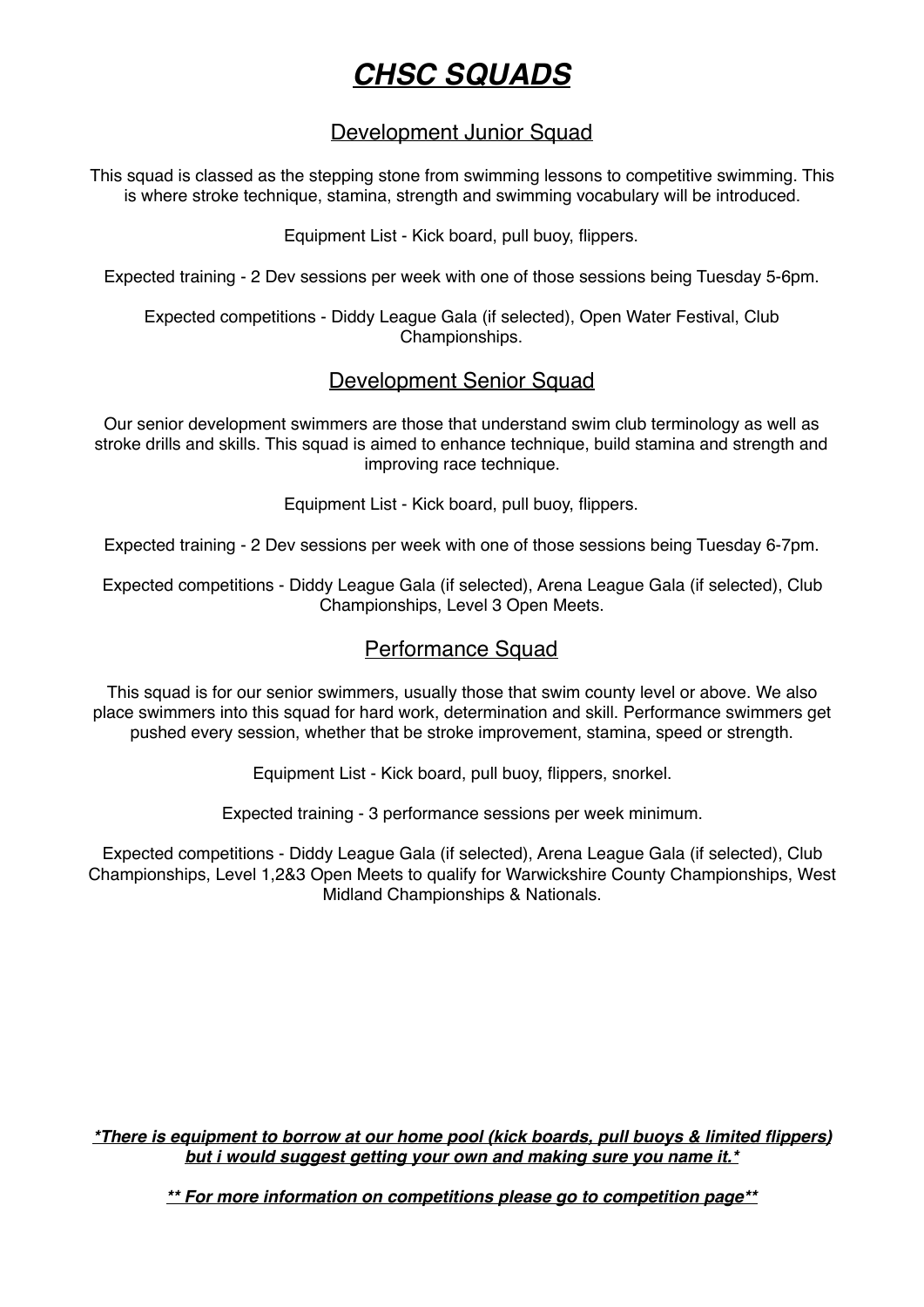# *CHSC SQUADS*

# Development Junior Squad

This squad is classed as the stepping stone from swimming lessons to competitive swimming. This is where stroke technique, stamina, strength and swimming vocabulary will be introduced.

Equipment List - Kick board, pull buoy, flippers.

Expected training - 2 Dev sessions per week with one of those sessions being Tuesday 5-6pm.

Expected competitions - Diddy League Gala (if selected), Open Water Festival, Club Championships.

### Development Senior Squad

Our senior development swimmers are those that understand swim club terminology as well as stroke drills and skills. This squad is aimed to enhance technique, build stamina and strength and improving race technique.

Equipment List - Kick board, pull buoy, flippers.

Expected training - 2 Dev sessions per week with one of those sessions being Tuesday 6-7pm.

Expected competitions - Diddy League Gala (if selected), Arena League Gala (if selected), Club Championships, Level 3 Open Meets.

#### Performance Squad

This squad is for our senior swimmers, usually those that swim county level or above. We also place swimmers into this squad for hard work, determination and skill. Performance swimmers get pushed every session, whether that be stroke improvement, stamina, speed or strength.

Equipment List - Kick board, pull buoy, flippers, snorkel.

Expected training - 3 performance sessions per week minimum.

Expected competitions - Diddy League Gala (if selected), Arena League Gala (if selected), Club Championships, Level 1,2&3 Open Meets to qualify for Warwickshire County Championships, West Midland Championships & Nationals.

*\*There is equipment to borrow at our home pool (kick boards, pull buoys & limited flippers) but i would suggest getting your own and making sure you name it.\**

*\*\* For more information on competitions please go to competition page\*\**